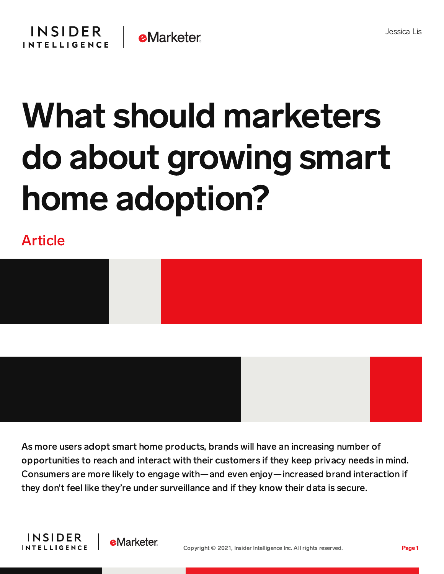

## What should marketers do about growing smart home adoption?

## Article



As more users adopt smart home products, brands will have an increasing number of opportunities to reach and interact with their customers if they keep privacy needs in mind. Consumers are more likely to engage with—and even enjoy—increased brand interaction if they don't feel like they're under surveillance and if they know their data is secure.



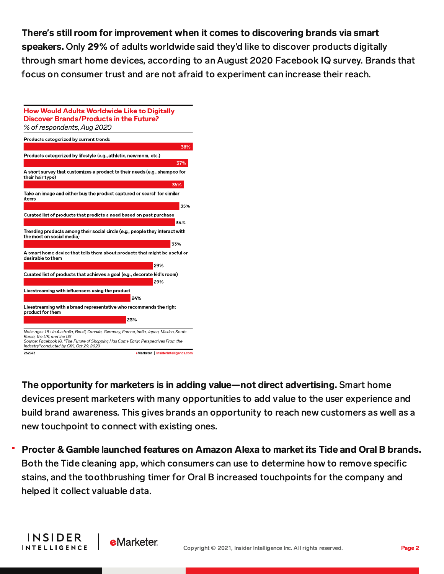## There**'**s still room for improvement when it comes to discovering brands via smart

speakers. Only 29% of adults worldwide said they'd like to discover products digitally through smart home devices, according to an August 2020 Facebook IQ survey. Brands that focus on consumer trust and are not afraid to experiment can increase their reach.



**INSIDER** 

**INTELLIGENCE** 

**eMarketer** 

The opportunity for marketers is in adding value—not direct advertising. Smart home devices present marketers with many opportunities to add value to the user experience and build brand awareness. This gives brands an opportunity to reach new customers as well as a new touchpoint to connect with existing ones.

Procter & Gamble launched features on Amazon Alexa to market its Tide and Oral B brands. Both the Tide cleaning app, which consumers can use to determine how to remove specific stains, and the toothbrushing timer for Oral B increased touchpoints for the company and helped it collect valuable data.